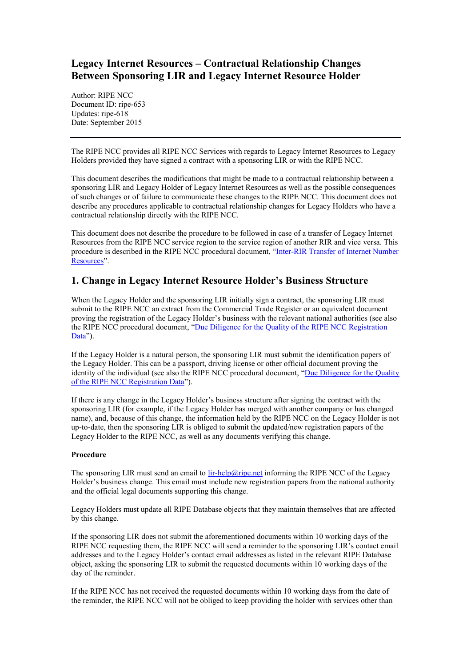# **Legacy Internet Resources – Contractual Relationship Changes Between Sponsoring LIR and Legacy Internet Resource Holder**

Author: RIPE NCC Document ID: ripe-653 Updates: ripe-618 Date: September 2015

The RIPE NCC provides all RIPE NCC Services with regards to Legacy Internet Resources to Legacy Holders provided they have signed a contract with a sponsoring LIR or with the RIPE NCC.

This document describes the modifications that might be made to a contractual relationship between a sponsoring LIR and Legacy Holder of Legacy Internet Resources as well as the possible consequences of such changes or of failure to communicate these changes to the RIPE NCC. This document does not describe any procedures applicable to contractual relationship changes for Legacy Holders who have a contractual relationship directly with the RIPE NCC.

This document does not describe the procedure to be followed in case of a transfer of Legacy Internet Resources from the RIPE NCC service region to the service region of another RIR and vice versa. This procedure is described in the RIPE NCC procedural document, "[Inter-RIR Transfer of Internet Number](https://www.ripe.net/publications/docs/inter-rir-transfer-of-inr)  [Resources](https://www.ripe.net/publications/docs/inter-rir-transfer-of-inr)".

## **1. Change in Legacy Internet Resource Holder's Business Structure**

When the Legacy Holder and the sponsoring LIR initially sign a contract, the sponsoring LIR must submit to the RIPE NCC an extract from the Commercial Trade Register or an equivalent document proving the registration of the Legacy Holder's business with the relevant national authorities (see also the RIPE NCC procedural document, "[Due Diligence for the Quality of the RIPE NCC Registration](http://www.ripe.net/publications/docs/due-diligence)  [Data](http://www.ripe.net/publications/docs/due-diligence)").

If the Legacy Holder is a natural person, the sponsoring LIR must submit the identification papers of the Legacy Holder. This can be a passport, driving license or other official document proving the identity of the individual (see also the RIPE NCC procedural document, "Due Diligence for the Quality [of the RIPE NCC Registration Data](http://www.ripe.net/publications/docs/due-diligence)").

If there is any change in the Legacy Holder's business structure after signing the contract with the sponsoring LIR (for example, if the Legacy Holder has merged with another company or has changed name), and, because of this change, the information held by the RIPE NCC on the Legacy Holder is not up-to-date, then the sponsoring LIR is obliged to submit the updated/new registration papers of the Legacy Holder to the RIPE NCC, as well as any documents verifying this change.

#### **Procedure**

The sponsoring LIR must send an email to [lir-help@ripe.net](mailto:lir-help@ripe.net) informing the RIPE NCC of the Legacy Holder's business change. This email must include new registration papers from the national authority and the official legal documents supporting this change.

Legacy Holders must update all RIPE Database objects that they maintain themselves that are affected by this change.

If the sponsoring LIR does not submit the aforementioned documents within 10 working days of the RIPE NCC requesting them, the RIPE NCC will send a reminder to the sponsoring LIR's contact email addresses and to the Legacy Holder's contact email addresses as listed in the relevant RIPE Database object, asking the sponsoring LIR to submit the requested documents within 10 working days of the day of the reminder.

If the RIPE NCC has not received the requested documents within 10 working days from the date of the reminder, the RIPE NCC will not be obliged to keep providing the holder with services other than